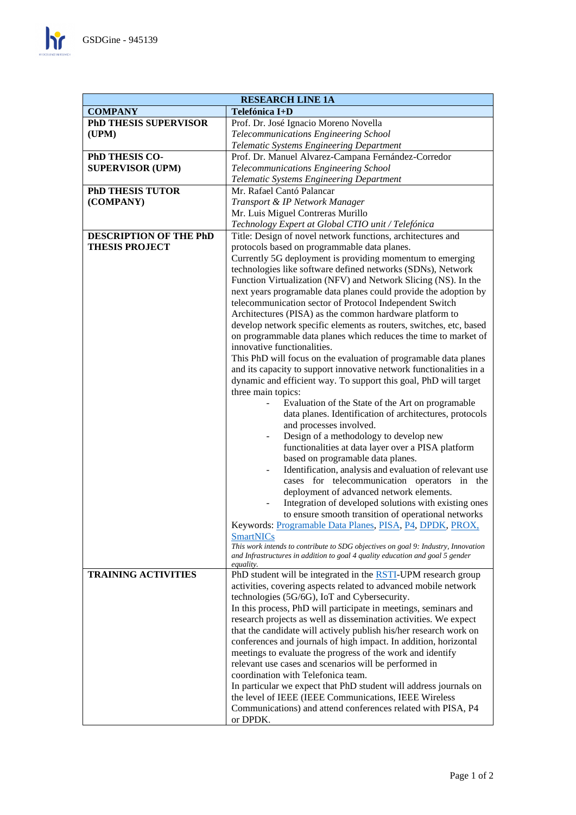$\mathbf{h}$ 

| <b>RESEARCH LINE 1A</b>          |                                                                                     |
|----------------------------------|-------------------------------------------------------------------------------------|
| <b>COMPANY</b><br>Telefónica I+D |                                                                                     |
| <b>PhD THESIS SUPERVISOR</b>     | Prof. Dr. José Ignacio Moreno Novella                                               |
| (UPM)                            | Telecommunications Engineering School                                               |
|                                  | Telematic Systems Engineering Department                                            |
| PhD THESIS CO-                   | Prof. Dr. Manuel Alvarez-Campana Fernández-Corredor                                 |
| <b>SUPERVISOR (UPM)</b>          | Telecommunications Engineering School                                               |
|                                  | Telematic Systems Engineering Department                                            |
| <b>PhD THESIS TUTOR</b>          | Mr. Rafael Cantó Palancar                                                           |
| (COMPANY)                        | Transport & IP Network Manager                                                      |
|                                  | Mr. Luis Miguel Contreras Murillo                                                   |
|                                  | Technology Expert at Global CTIO unit / Telefónica                                  |
| <b>DESCRIPTION OF THE PhD</b>    | Title: Design of novel network functions, architectures and                         |
| <b>THESIS PROJECT</b>            | protocols based on programmable data planes.                                        |
|                                  | Currently 5G deployment is providing momentum to emerging                           |
|                                  | technologies like software defined networks (SDNs), Network                         |
|                                  | Function Virtualization (NFV) and Network Slicing (NS). In the                      |
|                                  | next years programable data planes could provide the adoption by                    |
|                                  | telecommunication sector of Protocol Independent Switch                             |
|                                  | Architectures (PISA) as the common hardware platform to                             |
|                                  | develop network specific elements as routers, switches, etc, based                  |
|                                  | on programmable data planes which reduces the time to market of                     |
|                                  | innovative functionalities.                                                         |
|                                  | This PhD will focus on the evaluation of programable data planes                    |
|                                  | and its capacity to support innovative network functionalities in a                 |
|                                  | dynamic and efficient way. To support this goal, PhD will target                    |
|                                  | three main topics:                                                                  |
|                                  | Evaluation of the State of the Art on programable                                   |
|                                  | data planes. Identification of architectures, protocols                             |
|                                  | and processes involved.                                                             |
|                                  | Design of a methodology to develop new                                              |
|                                  | functionalities at data layer over a PISA platform                                  |
|                                  | based on programable data planes.                                                   |
|                                  | Identification, analysis and evaluation of relevant use<br>$\overline{\phantom{0}}$ |
|                                  | cases for telecommunication operators in the                                        |
|                                  | deployment of advanced network elements.                                            |
|                                  | Integration of developed solutions with existing ones                               |
|                                  | to ensure smooth transition of operational networks                                 |
|                                  | Keywords: Programable Data Planes, PISA, P4, DPDK, PROX,                            |
|                                  | <b>SmartNICs</b>                                                                    |
|                                  | This work intends to contribute to SDG objectives on goal 9: Industry, Innovation   |
|                                  | and Infrastructures in addition to goal 4 quality education and goal 5 gender       |
|                                  | <i>equality.</i>                                                                    |
| <b>TRAINING ACTIVITIES</b>       | PhD student will be integrated in the <b>RSTI</b> -UPM research group               |
|                                  | activities, covering aspects related to advanced mobile network                     |
|                                  | technologies (5G/6G), IoT and Cybersecurity.                                        |
|                                  | In this process, PhD will participate in meetings, seminars and                     |
|                                  | research projects as well as dissemination activities. We expect                    |
|                                  | that the candidate will actively publish his/her research work on                   |
|                                  | conferences and journals of high impact. In addition, horizontal                    |
|                                  | meetings to evaluate the progress of the work and identify                          |
|                                  | relevant use cases and scenarios will be performed in                               |
|                                  | coordination with Telefonica team.                                                  |
|                                  | In particular we expect that PhD student will address journals on                   |
|                                  | the level of IEEE (IEEE Communications, IEEE Wireless                               |
|                                  | Communications) and attend conferences related with PISA, P4                        |
|                                  | or DPDK.                                                                            |